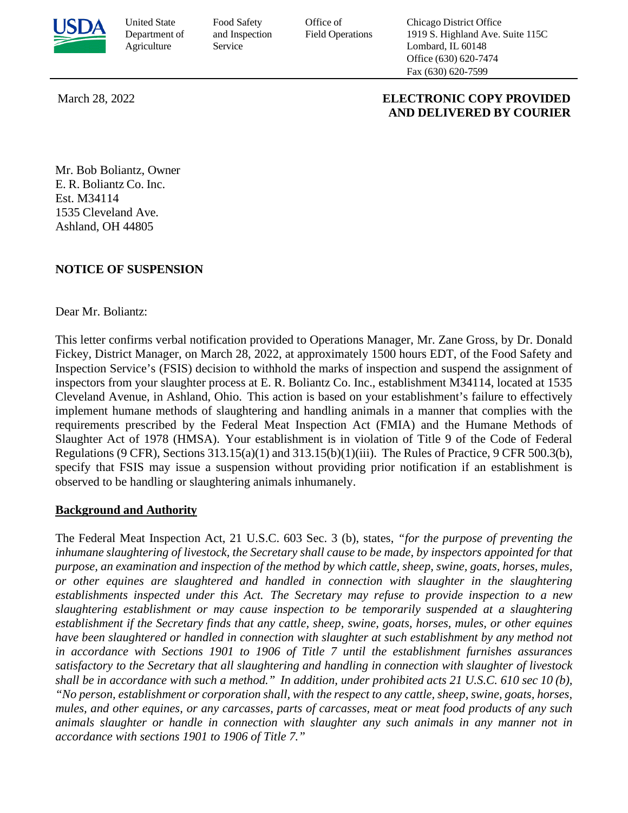

United State Food Safety Office of Chicago District Office Department of and Inspection Field Operations 1919 S. Highland Ave. Suite 115C Agriculture Service Service Lombard, IL 60148 Office (630) 620-7474 Fax (630) 620-7599

#### March 28, 2022 **ELECTRONIC COPY PROVIDED AND DELIVERED BY COURIER**

 Mr. Bob Boliantz, Owner E. R. Boliantz Co. Inc. 1535 Cleveland Ave. Ashland, OH 44805 Est. M34114

# **NOTICE OF SUSPENSION**

#### Dear Mr. Boliantz:

 Fickey, District Manager, on March 28, 2022, at approximately 1500 hours EDT, of the Food Safety and inspectors from your slaughter process at E. R. Boliantz Co. Inc., establishment M34114, located at 1535 Regulations (9 CFR), Sections  $313.15(a)(1)$  and  $313.15(b)(1)(iii)$ . The Rules of Practice, 9 CFR 500.3(b), This letter confirms verbal notification provided to Operations Manager, Mr. Zane Gross, by Dr. Donald Inspection Service's (FSIS) decision to withhold the marks of inspection and suspend the assignment of Cleveland Avenue, in Ashland, Ohio. This action is based on your establishment's failure to effectively implement humane methods of slaughtering and handling animals in a manner that complies with the requirements prescribed by the Federal Meat Inspection Act (FMIA) and the Humane Methods of Slaughter Act of 1978 (HMSA). Your establishment is in violation of Title 9 of the Code of Federal specify that FSIS may issue a suspension without providing prior notification if an establishment is observed to be handling or slaughtering animals inhumanely.

# **Background and Authority**

 *inhumane slaughtering of livestock, the Secretary shall cause to be made, by inspectors appointed for that purpose, an examination and inspection of the method by which cattle, sheep, swine, goats, horses, mules, establishment if the Secretary finds that any cattle, sheep, swine, goats, horses, mules, or other equines shall be in accordance with such a method." In addition, under prohibited acts 21 U.S.C. 610 sec 10 (b), "No person, establishment or corporation shall, with the respect to any cattle, sheep, swine, goats, horses,*  The Federal Meat Inspection Act, 21 U.S.C. 603 Sec. 3 (b), states, *"for the purpose of preventing the or other equines are slaughtered and handled in connection with slaughter in the slaughtering establishments inspected under this Act. The Secretary may refuse to provide inspection to a new slaughtering establishment or may cause inspection to be temporarily suspended at a slaughtering have been slaughtered or handled in connection with slaughter at such establishment by any method not in accordance with Sections 1901 to 1906 of Title 7 until the establishment furnishes assurances satisfactory to the Secretary that all slaughtering and handling in connection with slaughter of livestock mules, and other equines, or any carcasses, parts of carcasses, meat or meat food products of any such animals slaughter or handle in connection with slaughter any such animals in any manner not in accordance with sections 1901 to 1906 of Title 7."*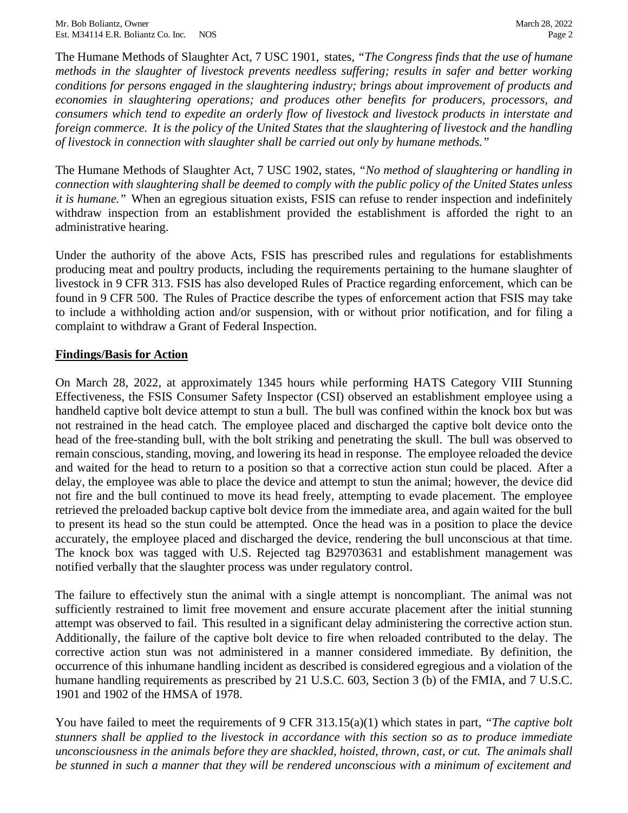The Humane Methods of Slaughter Act, 7 USC 1901, states, *"The Congress finds that the use of humane foreign commerce. It is the policy of the United States that the slaughtering of livestock and the handling methods in the slaughter of livestock prevents needless suffering; results in safer and better working conditions for persons engaged in the slaughtering industry; brings about improvement of products and economies in slaughtering operations; and produces other benefits for producers, processors, and consumers which tend to expedite an orderly flow of livestock and livestock products in interstate and of livestock in connection with slaughter shall be carried out only by humane methods."* 

 *connection with slaughtering shall be deemed to comply with the public policy of the United States unless*  The Humane Methods of Slaughter Act, 7 USC 1902, states, *"No method of slaughtering or handling in it is humane."* When an egregious situation exists, FSIS can refuse to render inspection and indefinitely withdraw inspection from an establishment provided the establishment is afforded the right to an administrative hearing.

 found in 9 CFR 500. The Rules of Practice describe the types of enforcement action that FSIS may take complaint to withdraw a Grant of Federal Inspection. Under the authority of the above Acts, FSIS has prescribed rules and regulations for establishments producing meat and poultry products, including the requirements pertaining to the humane slaughter of livestock in 9 CFR 313. FSIS has also developed Rules of Practice regarding enforcement, which can be to include a withholding action and/or suspension, with or without prior notification, and for filing a

# **Findings/Basis for Action**

 handheld captive bolt device attempt to stun a bull. The bull was confined within the knock box but was remain conscious, standing, moving, and lowering its head in response. The employee reloaded the device delay, the employee was able to place the device and attempt to stun the animal; however, the device did retrieved the preloaded backup captive bolt device from the immediate area, and again waited for the bull On March 28, 2022, at approximately 1345 hours while performing HATS Category VIII Stunning Effectiveness, the FSIS Consumer Safety Inspector (CSI) observed an establishment employee using a not restrained in the head catch. The employee placed and discharged the captive bolt device onto the head of the free-standing bull, with the bolt striking and penetrating the skull. The bull was observed to and waited for the head to return to a position so that a corrective action stun could be placed. After a not fire and the bull continued to move its head freely, attempting to evade placement. The employee to present its head so the stun could be attempted. Once the head was in a position to place the device accurately, the employee placed and discharged the device, rendering the bull unconscious at that time. The knock box was tagged with U.S. Rejected tag B29703631 and establishment management was notified verbally that the slaughter process was under regulatory control.

 attempt was observed to fail. This resulted in a significant delay administering the corrective action stun. occurrence of this inhumane handling incident as described is considered egregious and a violation of the The failure to effectively stun the animal with a single attempt is noncompliant. The animal was not sufficiently restrained to limit free movement and ensure accurate placement after the initial stunning Additionally, the failure of the captive bolt device to fire when reloaded contributed to the delay. The corrective action stun was not administered in a manner considered immediate. By definition, the humane handling requirements as prescribed by 21 U.S.C. 603, Section 3 (b) of the FMIA, and 7 U.S.C. 1901 and 1902 of the HMSA of 1978.

 *unconsciousness in the animals before they are shackled, hoisted, thrown, cast, or cut. The animals shall be stunned in such a manner that they will be rendered unconscious with a minimum of excitement and* You have failed to meet the requirements of 9 CFR 313.15(a)(1) which states in part, *"The captive bolt stunners shall be applied to the livestock in accordance with this section so as to produce immediate*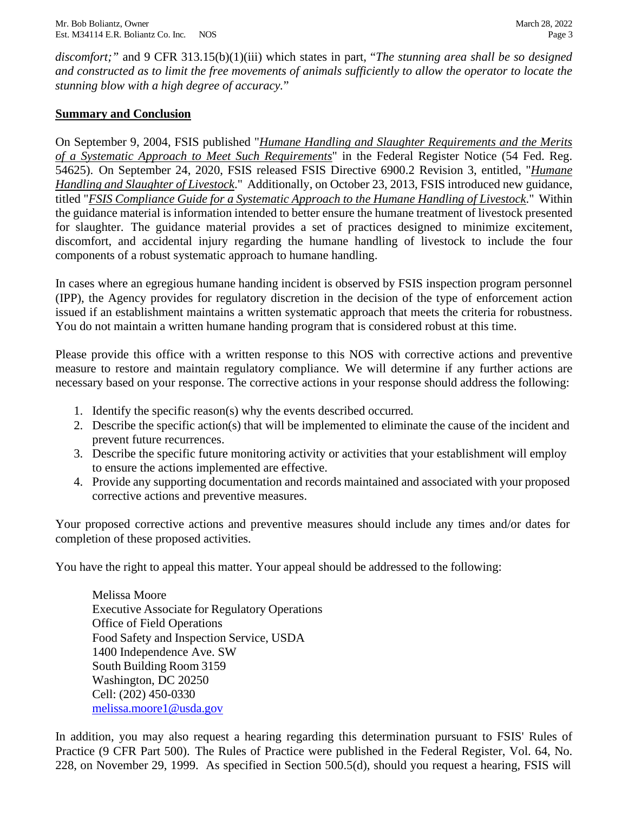*discomfort;"* and 9 CFR 313.15(b)(1)(iii) which states in part, "*The stunning area shall be so designed and constructed as to limit the free movements of animals sufficiently to allow the operator to locate the stunning blow with a high degree of accuracy.*"

# **Summary and Conclusion**

 *Handling and Slaughter of Livestock*." Additionally, on October 23, 2013, FSIS introduced new guidance,  titled "*FSIS Compliance Guide for a Systematic Approach to the Humane Handling of Livestock*." Within the guidance material is information intended to better ensure the humane treatment of livestock presented discomfort, and accidental injury regarding the humane handling of livestock to include the four On September 9, 2004, FSIS published "*Humane Handling and Slaughter Requirements and the Merits of a Systematic Approach to Meet Such Requirements*" in the Federal Register Notice (54 Fed. Reg. 54625). On September 24, 2020, FSIS released FSIS Directive 6900.2 Revision 3, entitled, "*Humane*  for slaughter. The guidance material provides a set of practices designed to minimize excitement, components of a robust systematic approach to humane handling.

 In cases where an egregious humane handing incident is observed by FSIS inspection program personnel issued if an establishment maintains a written systematic approach that meets the criteria for robustness. (IPP), the Agency provides for regulatory discretion in the decision of the type of enforcement action You do not maintain a written humane handing program that is considered robust at this time.

 necessary based on your response. The corrective actions in your response should address the following: Please provide this office with a written response to this NOS with corrective actions and preventive measure to restore and maintain regulatory compliance. We will determine if any further actions are

- 1. Identify the specific reason(s) why the events described occurred.
- 2. Describe the specific action(s) that will be implemented to eliminate the cause of the incident and prevent future recurrences.
- 3. Describe the specific future monitoring activity or activities that your establishment will employ to ensure the actions implemented are effective.
- 4. Provide any supporting documentation and records maintained and associated with your proposed corrective actions and preventive measures.

 Your proposed corrective actions and preventive measures should include any times and/or dates for completion of these proposed activities.

You have the right to appeal this matter. Your appeal should be addressed to the following:

 Executive Associate for Regulatory Operations Food Safety and Inspection Service, USDA South Building Room 3159 Cell: (202) 450-0330 Melissa Moore Office of Field Operations 1400 Independence Ave. SW Washington, DC 20250 [melissa.moore1@usda.gov](mailto:melissa.moore1@usda.gov)

 228, on November 29, 1999. As specified in Section 500.5(d), should you request a hearing, FSIS will In addition, you may also request a hearing regarding this determination pursuant to FSIS' Rules of Practice (9 CFR Part 500). The Rules of Practice were published in the Federal Register, Vol. 64, No.